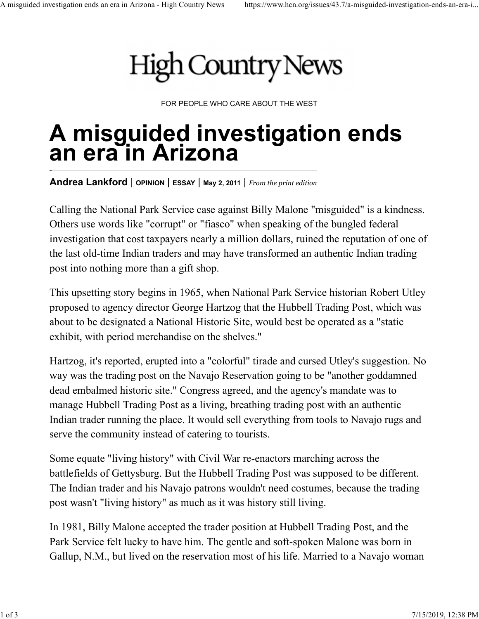## A misguided investigation ends an era in Arizona - High Country News https://www.hcn.org/issues/43.7/a-misguided-investigation-ends-an-era-i...

FOR PEOPLE WHO CARE ABOUT THE WEST

## A misguided investigation ends an era in Arizona

Andrea Lankford | OPINION | ESSAY | May 2, 2011 | From the print edition

Calling the National Park Service case against Billy Malone "misguided" is a kindness. Others use words like "corrupt" or "fiasco" when speaking of the bungled federal investigation that cost taxpayers nearly a million dollars, ruined the reputation of one of the last old-time Indian traders and may have transformed an authentic Indian trading post into nothing more than a gift shop.

This upsetting story begins in 1965, when National Park Service historian Robert Utley proposed to agency director George Hartzog that the Hubbell Trading Post, which was about to be designated a National Historic Site, would best be operated as a "static exhibit, with period merchandise on the shelves."

Hartzog, it's reported, erupted into a "colorful" tirade and cursed Utley's suggestion. No way was the trading post on the Navajo Reservation going to be "another goddamned dead embalmed historic site." Congress agreed, and the agency's mandate was to manage Hubbell Trading Post as a living, breathing trading post with an authentic Indian trader running the place. It would sell everything from tools to Navajo rugs and serve the community instead of catering to tourists.

Some equate "living history" with Civil War re-enactors marching across the battlefields of Gettysburg. But the Hubbell Trading Post was supposed to be different. The Indian trader and his Navajo patrons wouldn't need costumes, because the trading post wasn't "living history" as much as it was history still living.

In 1981, Billy Malone accepted the trader position at Hubbell Trading Post, and the Park Service felt lucky to have him. The gentle and soft-spoken Malone was born in Gallup, N.M., but lived on the reservation most of his life. Married to a Navajo woman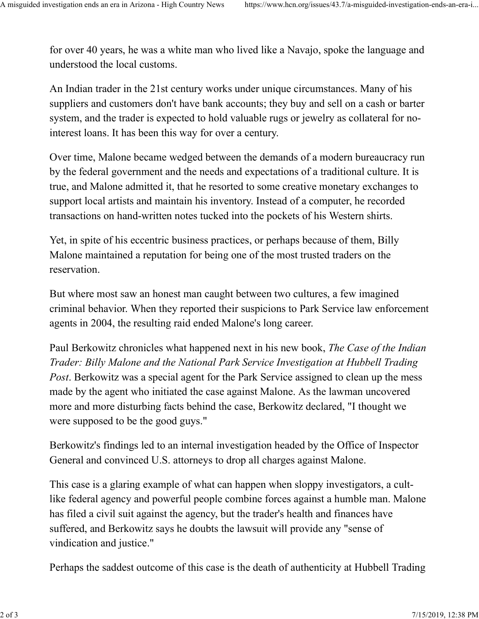for over 40 years, he was a white man who lived like a Navajo, spoke the language and understood the local customs. A misguided investigation ends an era in Arizona - High Country News https://www.hcn.org/issues/43.7/a-misguided-investigation-ends-an-era-i...<br>for over 40 years, he was a white man who lived like a Navajo, spoke the langu

An Indian trader in the 21st century works under unique circumstances. Many of his suppliers and customers don't have bank accounts; they buy and sell on a cash or barter system, and the trader is expected to hold valuable rugs or jewelry as collateral for nointerest loans. It has been this way for over a century.

Over time, Malone became wedged between the demands of a modern bureaucracy run by the federal government and the needs and expectations of a traditional culture. It is true, and Malone admitted it, that he resorted to some creative monetary exchanges to support local artists and maintain his inventory. Instead of a computer, he recorded transactions on hand-written notes tucked into the pockets of his Western shirts.

Yet, in spite of his eccentric business practices, or perhaps because of them, Billy Malone maintained a reputation for being one of the most trusted traders on the reservation.

But where most saw an honest man caught between two cultures, a few imagined criminal behavior. When they reported their suspicions to Park Service law enforcement agents in 2004, the resulting raid ended Malone's long career.

Paul Berkowitz chronicles what happened next in his new book, The Case of the Indian Trader: Billy Malone and the National Park Service Investigation at Hubbell Trading Post. Berkowitz was a special agent for the Park Service assigned to clean up the mess made by the agent who initiated the case against Malone. As the lawman uncovered more and more disturbing facts behind the case, Berkowitz declared, "I thought we were supposed to be the good guys."

Berkowitz's findings led to an internal investigation headed by the Office of Inspector General and convinced U.S. attorneys to drop all charges against Malone.

This case is a glaring example of what can happen when sloppy investigators, a cultlike federal agency and powerful people combine forces against a humble man. Malone has filed a civil suit against the agency, but the trader's health and finances have suffered, and Berkowitz says he doubts the lawsuit will provide any "sense of vindication and justice."

Perhaps the saddest outcome of this case is the death of authenticity at Hubbell Trading